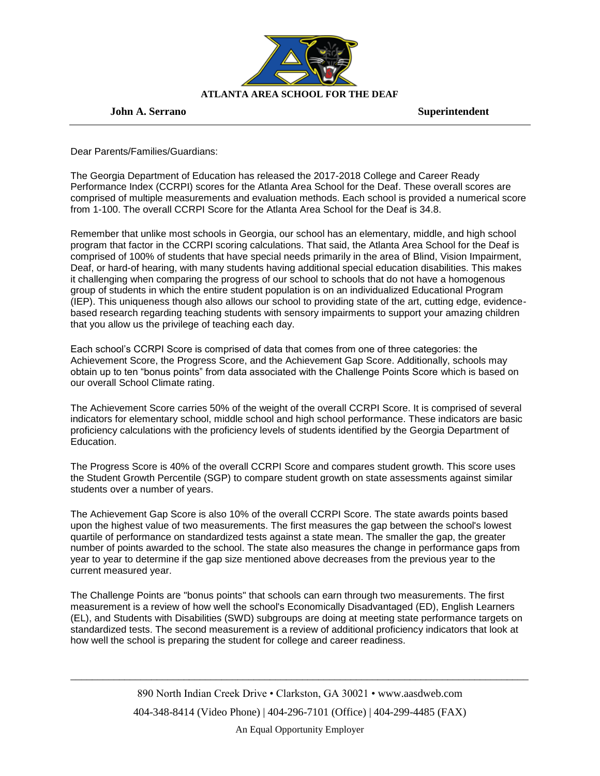

## **John A. Serrano** Superintendent

Dear Parents/Families/Guardians:

The Georgia Department of Education has released the 2017-2018 College and Career Ready Performance Index (CCRPI) scores for the Atlanta Area School for the Deaf. These overall scores are comprised of multiple measurements and evaluation methods. Each school is provided a numerical score from 1-100. The overall CCRPI Score for the Atlanta Area School for the Deaf is 34.8.

Remember that unlike most schools in Georgia, our school has an elementary, middle, and high school program that factor in the CCRPI scoring calculations. That said, the Atlanta Area School for the Deaf is comprised of 100% of students that have special needs primarily in the area of Blind, Vision Impairment, Deaf, or hard-of hearing, with many students having additional special education disabilities. This makes it challenging when comparing the progress of our school to schools that do not have a homogenous group of students in which the entire student population is on an individualized Educational Program (IEP). This uniqueness though also allows our school to providing state of the art, cutting edge, evidencebased research regarding teaching students with sensory impairments to support your amazing children that you allow us the privilege of teaching each day.

Each school's CCRPI Score is comprised of data that comes from one of three categories: the Achievement Score, the Progress Score, and the Achievement Gap Score. Additionally, schools may obtain up to ten "bonus points" from data associated with the Challenge Points Score which is based on our overall School Climate rating.

The Achievement Score carries 50% of the weight of the overall CCRPI Score. It is comprised of several indicators for elementary school, middle school and high school performance. These indicators are basic proficiency calculations with the proficiency levels of students identified by the Georgia Department of Education.

The Progress Score is 40% of the overall CCRPI Score and compares student growth. This score uses the Student Growth Percentile (SGP) to compare student growth on state assessments against similar students over a number of years.

The Achievement Gap Score is also 10% of the overall CCRPI Score. The state awards points based upon the highest value of two measurements. The first measures the gap between the school's lowest quartile of performance on standardized tests against a state mean. The smaller the gap, the greater number of points awarded to the school. The state also measures the change in performance gaps from year to year to determine if the gap size mentioned above decreases from the previous year to the current measured year.

The Challenge Points are "bonus points" that schools can earn through two measurements. The first measurement is a review of how well the school's Economically Disadvantaged (ED), English Learners (EL), and Students with Disabilities (SWD) subgroups are doing at meeting state performance targets on standardized tests. The second measurement is a review of additional proficiency indicators that look at how well the school is preparing the student for college and career readiness.

\_\_\_\_\_\_\_\_\_\_\_\_\_\_\_\_\_\_\_\_\_\_\_\_\_\_\_\_\_\_\_\_\_\_\_\_\_\_\_\_\_\_\_\_\_\_\_\_\_\_\_\_\_\_\_\_\_\_\_\_\_\_\_\_\_\_\_\_\_\_\_\_\_\_\_\_\_\_\_\_\_\_\_\_\_

An Equal Opportunity Employer